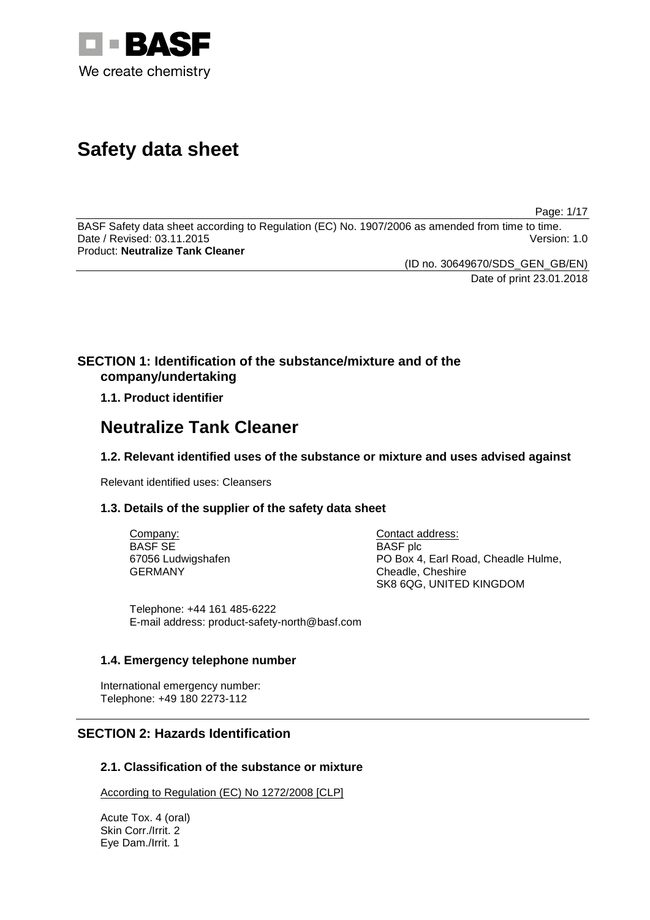

# **Safety data sheet**

Page: 1/17

BASF Safety data sheet according to Regulation (EC) No. 1907/2006 as amended from time to time. Date / Revised: 03.11.2015 Product: **Neutralize Tank Cleaner**

(ID no. 30649670/SDS\_GEN\_GB/EN)

Date of print 23.01.2018

# **SECTION 1: Identification of the substance/mixture and of the company/undertaking**

**1.1. Product identifier**

# **Neutralize Tank Cleaner**

# **1.2. Relevant identified uses of the substance or mixture and uses advised against**

Relevant identified uses: Cleansers

# **1.3. Details of the supplier of the safety data sheet**

Company: BASF SE 67056 Ludwigshafen GERMANY

Contact address: BASF plc PO Box 4, Earl Road, Cheadle Hulme, Cheadle, Cheshire SK8 6QG, UNITED KINGDOM

Telephone: +44 161 485-6222 E-mail address: product-safety-north@basf.com

# **1.4. Emergency telephone number**

International emergency number: Telephone: +49 180 2273-112

# **SECTION 2: Hazards Identification**

## **2.1. Classification of the substance or mixture**

According to Regulation (EC) No 1272/2008 [CLP]

Acute Tox. 4 (oral) Skin Corr./Irrit. 2 Eye Dam./Irrit. 1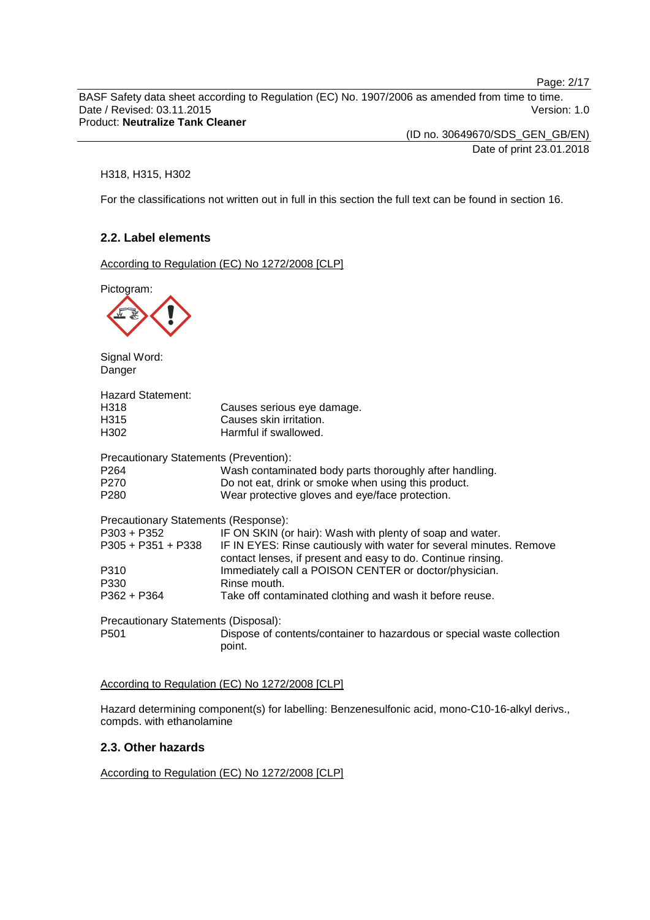Page: 2/17

BASF Safety data sheet according to Regulation (EC) No. 1907/2006 as amended from time to time. Date / Revised: 03.11.2015 Version: 1.0 Product: **Neutralize Tank Cleaner**

(ID no. 30649670/SDS\_GEN\_GB/EN) Date of print 23.01.2018

## H318, H315, H302

For the classifications not written out in full in this section the full text can be found in section 16.

## **2.2. Label elements**

According to Regulation (EC) No 1272/2008 [CLP]

Pictogram:



Signal Word: Danger

| <b>Hazard Statement:</b>               |                                                                                                                                     |
|----------------------------------------|-------------------------------------------------------------------------------------------------------------------------------------|
| H318                                   | Causes serious eye damage.                                                                                                          |
| H315                                   | Causes skin irritation.                                                                                                             |
| H302                                   | Harmful if swallowed.                                                                                                               |
| Precautionary Statements (Prevention): |                                                                                                                                     |
| P <sub>264</sub>                       | Wash contaminated body parts thoroughly after handling.                                                                             |
| P270                                   | Do not eat, drink or smoke when using this product.                                                                                 |
| P <sub>280</sub>                       | Wear protective gloves and eye/face protection.                                                                                     |
| Precautionary Statements (Response):   |                                                                                                                                     |
| P303 + P352                            | IF ON SKIN (or hair): Wash with plenty of soap and water.                                                                           |
| $P305 + P351 + P338$                   | IF IN EYES: Rinse cautiously with water for several minutes. Remove<br>contact lenses, if present and easy to do. Continue rinsing. |
| P310                                   | Immediately call a POISON CENTER or doctor/physician.                                                                               |
| P330                                   | Rinse mouth.                                                                                                                        |
| $P362 + P364$                          | Take off contaminated clothing and wash it before reuse.                                                                            |
| Precautionary Statements (Disposal):   |                                                                                                                                     |
| P501                                   | Dispose of contents/container to hazardous or special waste collection                                                              |

According to Regulation (EC) No 1272/2008 [CLP]

point.

Hazard determining component(s) for labelling: Benzenesulfonic acid, mono-C10-16-alkyl derivs., compds. with ethanolamine

## **2.3. Other hazards**

According to Regulation (EC) No 1272/2008 [CLP]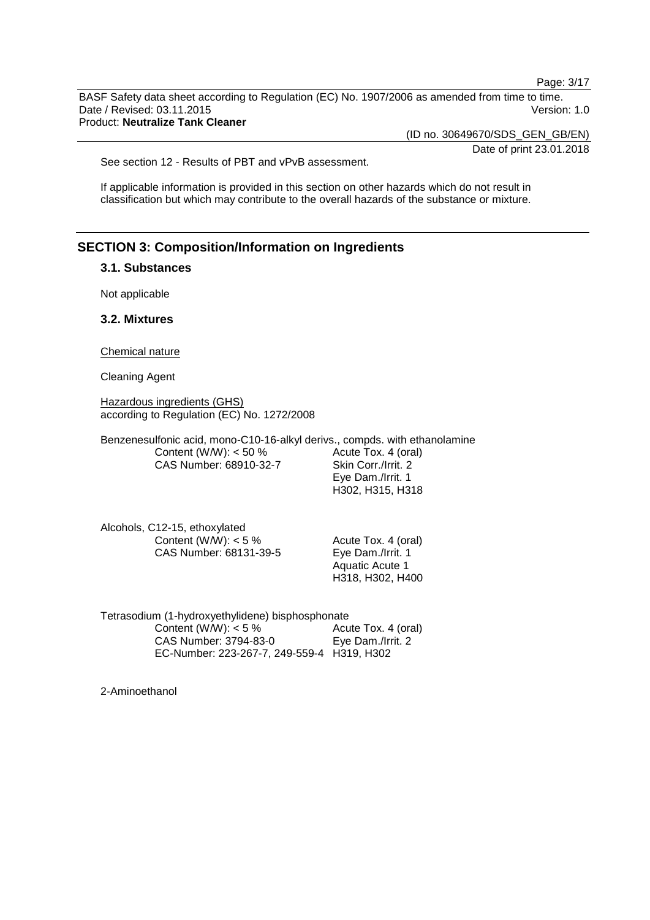Page: 3/17

BASF Safety data sheet according to Regulation (EC) No. 1907/2006 as amended from time to time. Date / Revised: 03.11.2015 Version: 1.0 Product: **Neutralize Tank Cleaner**

(ID no. 30649670/SDS\_GEN\_GB/EN)

Date of print 23.01.2018

See section 12 - Results of PBT and vPvB assessment.

If applicable information is provided in this section on other hazards which do not result in classification but which may contribute to the overall hazards of the substance or mixture.

## **SECTION 3: Composition/Information on Ingredients**

## **3.1. Substances**

Not applicable

## **3.2. Mixtures**

Chemical nature

Cleaning Agent

Hazardous ingredients (GHS) according to Regulation (EC) No. 1272/2008

Benzenesulfonic acid, mono-C10-16-alkyl derivs., compds. with ethanolamine Content (W/W): < 50 % CAS Number: 68910-32-7 Acute Tox. 4 (oral) Skin Corr./Irrit. 2

Eye Dam./Irrit. 1 H302, H315, H318

Alcohols, C12-15, ethoxylated Content (W/W):  $< 5 \%$ CAS Number: 68131-39-5

Acute Tox. 4 (oral) Eye Dam./Irrit. 1 Aquatic Acute 1 H318, H302, H400

| Tetrasodium (1-hydroxyethylidene) bisphosphonate |                     |  |
|--------------------------------------------------|---------------------|--|
| Content (W/W): $<$ 5 %                           | Acute Tox. 4 (oral) |  |
| CAS Number: 3794-83-0                            | Eye Dam./Irrit. 2   |  |
| EC-Number: 223-267-7, 249-559-4 H319, H302       |                     |  |

2-Aminoethanol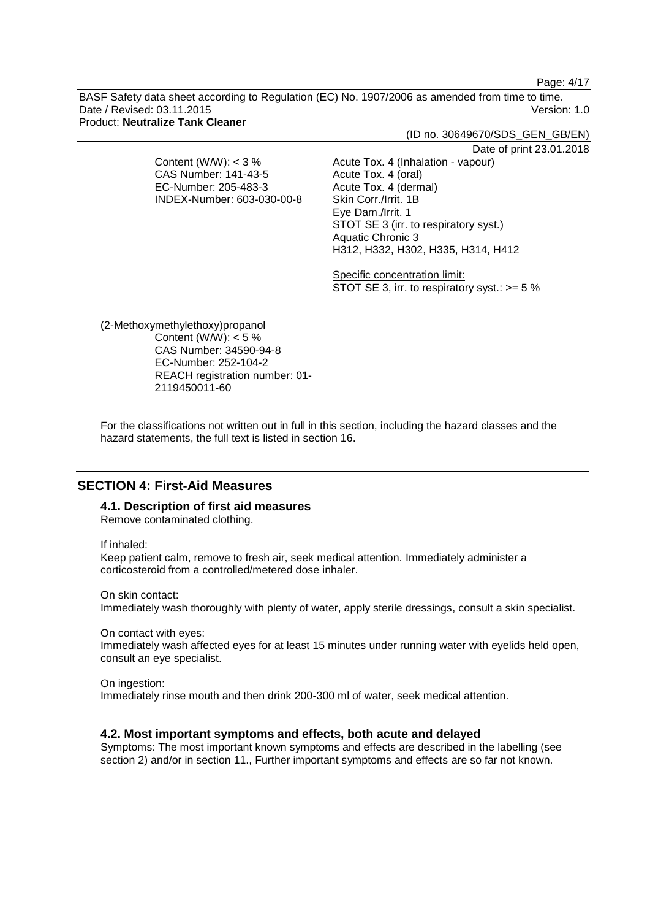Page: 4/17

BASF Safety data sheet according to Regulation (EC) No. 1907/2006 as amended from time to time. Date / Revised: 03.11.2015 Version: 1.0 Product: **Neutralize Tank Cleaner**

|                            | (ID no. 30649670/SDS_GEN_GB/EN)                |
|----------------------------|------------------------------------------------|
|                            | Date of print 23.01.2018                       |
| Content (W/W): $<$ 3 %     | Acute Tox. 4 (Inhalation - vapour)             |
| CAS Number: 141-43-5       | Acute Tox. 4 (oral)                            |
| EC-Number: 205-483-3       | Acute Tox. 4 (dermal)                          |
| INDEX-Number: 603-030-00-8 | Skin Corr./Irrit. 1B                           |
|                            | Eye Dam./Irrit. 1                              |
|                            | STOT SE 3 (irr. to respiratory syst.)          |
|                            | Aquatic Chronic 3                              |
|                            | H312, H332, H302, H335, H314, H412             |
|                            |                                                |
|                            | Specific concentration limit:                  |
|                            | STOT SE 3, irr. to respiratory syst.: $>= 5\%$ |
|                            |                                                |
|                            |                                                |
|                            |                                                |

(2-Methoxymethylethoxy)propanol Content (W/W):  $< 5 \%$ CAS Number: 34590-94-8 EC-Number: 252-104-2 REACH registration number: 01- 2119450011-60

For the classifications not written out in full in this section, including the hazard classes and the hazard statements, the full text is listed in section 16.

## **SECTION 4: First-Aid Measures**

## **4.1. Description of first aid measures**

Remove contaminated clothing.

If inhaled:

Keep patient calm, remove to fresh air, seek medical attention. Immediately administer a corticosteroid from a controlled/metered dose inhaler.

On skin contact:

Immediately wash thoroughly with plenty of water, apply sterile dressings, consult a skin specialist.

On contact with eyes:

Immediately wash affected eyes for at least 15 minutes under running water with eyelids held open, consult an eye specialist.

On ingestion:

Immediately rinse mouth and then drink 200-300 ml of water, seek medical attention.

## **4.2. Most important symptoms and effects, both acute and delayed**

Symptoms: The most important known symptoms and effects are described in the labelling (see section 2) and/or in section 11., Further important symptoms and effects are so far not known.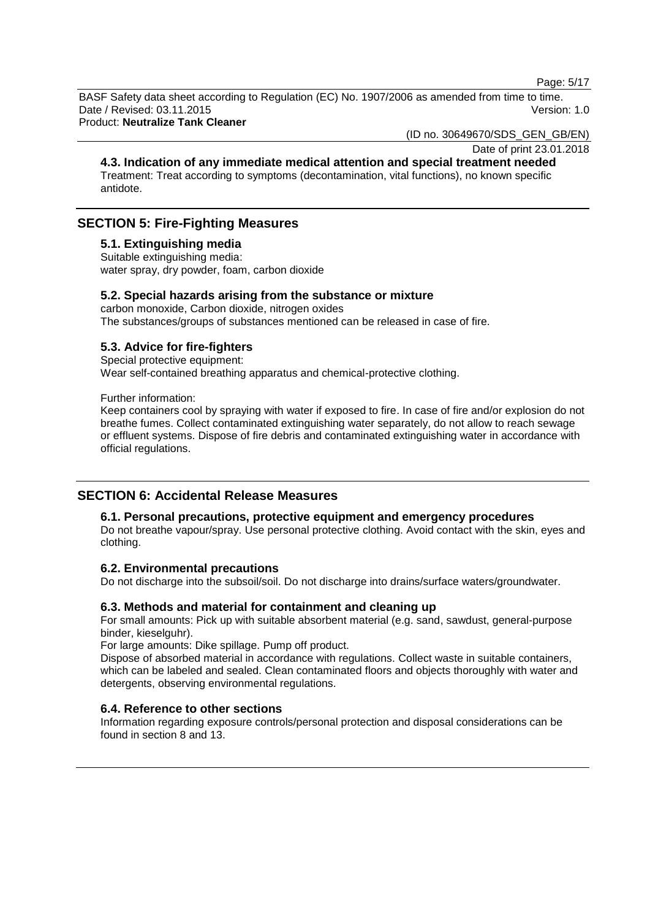Page: 5/17

BASF Safety data sheet according to Regulation (EC) No. 1907/2006 as amended from time to time. Date / Revised: 03.11.2015 Version: 1.0

Product: **Neutralize Tank Cleaner**

(ID no. 30649670/SDS\_GEN\_GB/EN)

Date of print 23.01.2018

**4.3. Indication of any immediate medical attention and special treatment needed** Treatment: Treat according to symptoms (decontamination, vital functions), no known specific antidote.

## **SECTION 5: Fire-Fighting Measures**

## **5.1. Extinguishing media**

Suitable extinguishing media: water spray, dry powder, foam, carbon dioxide

## **5.2. Special hazards arising from the substance or mixture**

carbon monoxide, Carbon dioxide, nitrogen oxides The substances/groups of substances mentioned can be released in case of fire.

# **5.3. Advice for fire-fighters**

Special protective equipment: Wear self-contained breathing apparatus and chemical-protective clothing.

Further information:

Keep containers cool by spraying with water if exposed to fire. In case of fire and/or explosion do not breathe fumes. Collect contaminated extinguishing water separately, do not allow to reach sewage or effluent systems. Dispose of fire debris and contaminated extinguishing water in accordance with official regulations.

# **SECTION 6: Accidental Release Measures**

### **6.1. Personal precautions, protective equipment and emergency procedures**

Do not breathe vapour/spray. Use personal protective clothing. Avoid contact with the skin, eyes and clothing.

## **6.2. Environmental precautions**

Do not discharge into the subsoil/soil. Do not discharge into drains/surface waters/groundwater.

### **6.3. Methods and material for containment and cleaning up**

For small amounts: Pick up with suitable absorbent material (e.g. sand, sawdust, general-purpose binder, kieselguhr).

For large amounts: Dike spillage. Pump off product.

Dispose of absorbed material in accordance with regulations. Collect waste in suitable containers, which can be labeled and sealed. Clean contaminated floors and objects thoroughly with water and detergents, observing environmental regulations.

### **6.4. Reference to other sections**

Information regarding exposure controls/personal protection and disposal considerations can be found in section 8 and 13.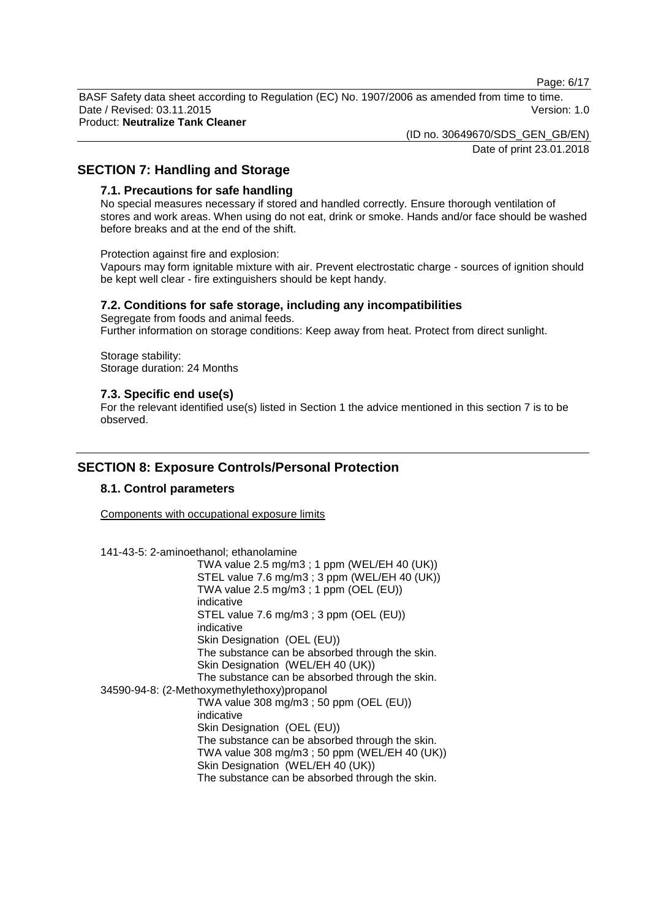Page: 6/17

BASF Safety data sheet according to Regulation (EC) No. 1907/2006 as amended from time to time. Date / Revised: 03.11.2015 Version: 1.0 Product: **Neutralize Tank Cleaner**

(ID no. 30649670/SDS\_GEN\_GB/EN)

Date of print 23.01.2018

# **SECTION 7: Handling and Storage**

## **7.1. Precautions for safe handling**

No special measures necessary if stored and handled correctly. Ensure thorough ventilation of stores and work areas. When using do not eat, drink or smoke. Hands and/or face should be washed before breaks and at the end of the shift.

Protection against fire and explosion:

Vapours may form ignitable mixture with air. Prevent electrostatic charge - sources of ignition should be kept well clear - fire extinguishers should be kept handy.

## **7.2. Conditions for safe storage, including any incompatibilities**

Segregate from foods and animal feeds. Further information on storage conditions: Keep away from heat. Protect from direct sunlight.

Storage stability: Storage duration: 24 Months

## **7.3. Specific end use(s)**

For the relevant identified use(s) listed in Section 1 the advice mentioned in this section 7 is to be observed.

# **SECTION 8: Exposure Controls/Personal Protection**

## **8.1. Control parameters**

Components with occupational exposure limits

141-43-5: 2-aminoethanol; ethanolamine

TWA value 2.5 mg/m3 ; 1 ppm (WEL/EH 40 (UK)) STEL value 7.6 mg/m3 ; 3 ppm (WEL/EH 40 (UK)) TWA value 2.5 mg/m3 ; 1 ppm (OEL (EU)) indicative STEL value 7.6 mg/m3 ; 3 ppm (OEL (EU)) indicative Skin Designation (OEL (EU)) The substance can be absorbed through the skin. Skin Designation (WEL/EH 40 (UK)) The substance can be absorbed through the skin. 34590-94-8: (2-Methoxymethylethoxy)propanol TWA value 308 mg/m3 ; 50 ppm (OEL (EU)) indicative Skin Designation (OEL (EU)) The substance can be absorbed through the skin. TWA value 308 mg/m3 ; 50 ppm (WEL/EH 40 (UK)) Skin Designation (WEL/EH 40 (UK)) The substance can be absorbed through the skin.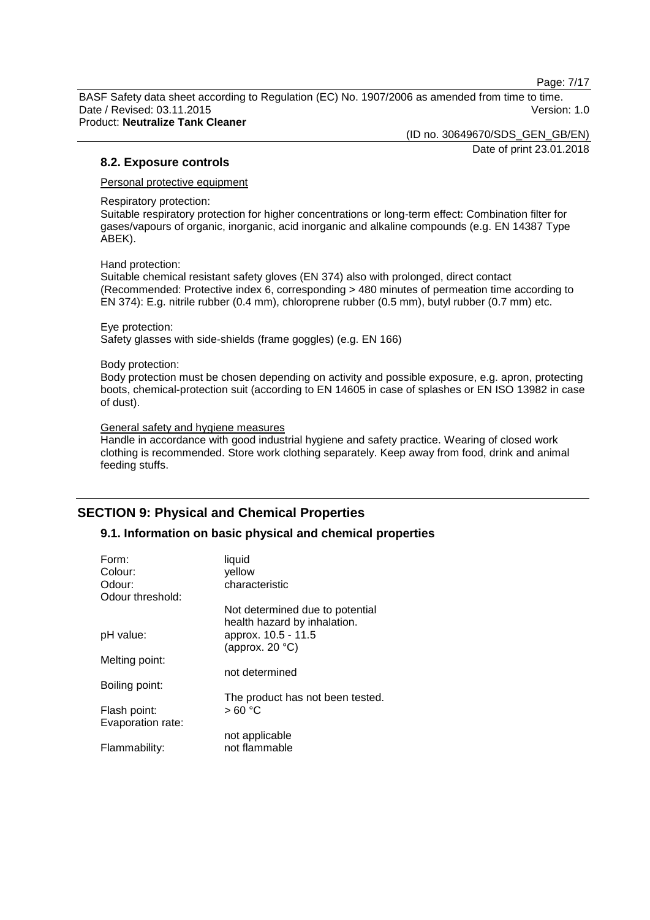Page: 7/17

BASF Safety data sheet according to Regulation (EC) No. 1907/2006 as amended from time to time. Date / Revised: 03.11.2015 Version: 1.0 Product: **Neutralize Tank Cleaner**

(ID no. 30649670/SDS\_GEN\_GB/EN)

Date of print 23.01.2018

## **8.2. Exposure controls**

Personal protective equipment

Respiratory protection:

Suitable respiratory protection for higher concentrations or long-term effect: Combination filter for gases/vapours of organic, inorganic, acid inorganic and alkaline compounds (e.g. EN 14387 Type ABEK).

Hand protection:

Suitable chemical resistant safety gloves (EN 374) also with prolonged, direct contact (Recommended: Protective index 6, corresponding > 480 minutes of permeation time according to EN 374): E.g. nitrile rubber (0.4 mm), chloroprene rubber (0.5 mm), butyl rubber (0.7 mm) etc.

Eye protection: Safety glasses with side-shields (frame goggles) (e.g. EN 166)

#### Body protection:

Body protection must be chosen depending on activity and possible exposure, e.g. apron, protecting boots, chemical-protection suit (according to EN 14605 in case of splashes or EN ISO 13982 in case of dust).

### General safety and hygiene measures

Handle in accordance with good industrial hygiene and safety practice. Wearing of closed work clothing is recommended. Store work clothing separately. Keep away from food, drink and animal feeding stuffs.

# **SECTION 9: Physical and Chemical Properties**

## **9.1. Information on basic physical and chemical properties**

| Not determined due to potential  |
|----------------------------------|
|                                  |
|                                  |
|                                  |
|                                  |
|                                  |
| The product has not been tested. |
|                                  |
|                                  |
|                                  |
|                                  |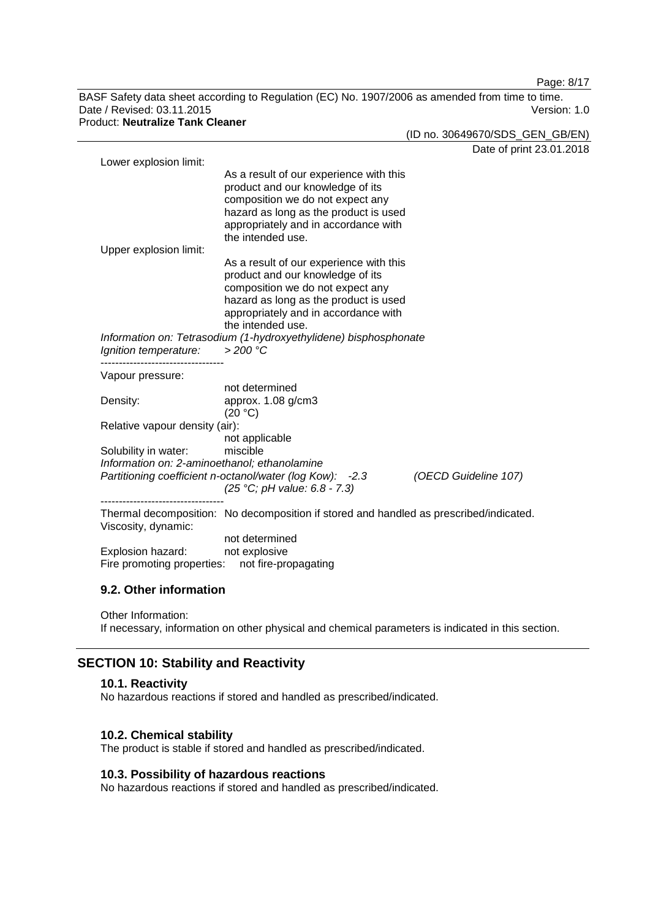Page: 8/17

BASF Safety data sheet according to Regulation (EC) No. 1907/2006 as amended from time to time. Date / Revised: 03.11.2015 Version: 1.0 Product: **Neutralize Tank Cleaner**

(ID no. 30649670/SDS\_GEN\_GB/EN)

|                                              |                                                                                        | Date of print 23.01.2018 |
|----------------------------------------------|----------------------------------------------------------------------------------------|--------------------------|
| Lower explosion limit:                       |                                                                                        |                          |
|                                              | As a result of our experience with this                                                |                          |
|                                              | product and our knowledge of its<br>composition we do not expect any                   |                          |
|                                              | hazard as long as the product is used                                                  |                          |
|                                              | appropriately and in accordance with                                                   |                          |
|                                              | the intended use.                                                                      |                          |
| Upper explosion limit:                       |                                                                                        |                          |
|                                              | As a result of our experience with this                                                |                          |
|                                              | product and our knowledge of its                                                       |                          |
|                                              | composition we do not expect any                                                       |                          |
|                                              | hazard as long as the product is used                                                  |                          |
|                                              | appropriately and in accordance with                                                   |                          |
|                                              | the intended use.                                                                      |                          |
|                                              | Information on: Tetrasodium (1-hydroxyethylidene) bisphosphonate                       |                          |
| Ignition temperature:                        | $>200$ °C                                                                              |                          |
| Vapour pressure:                             |                                                                                        |                          |
|                                              | not determined                                                                         |                          |
| Density:                                     | approx. 1.08 g/cm3                                                                     |                          |
|                                              | (20 °C)                                                                                |                          |
| Relative vapour density (air):               |                                                                                        |                          |
|                                              | not applicable                                                                         |                          |
| Solubility in water:                         | miscible                                                                               |                          |
| Information on: 2-aminoethanol; ethanolamine |                                                                                        |                          |
|                                              | Partitioning coefficient n-octanol/water (log Kow): -2.3                               | (OECD Guideline 107)     |
| ----------------------------                 | (25 °C; pH value: 6.8 - 7.3)                                                           |                          |
|                                              | Thermal decomposition: No decomposition if stored and handled as prescribed/indicated. |                          |
| Viscosity, dynamic:                          |                                                                                        |                          |
|                                              | not determined                                                                         |                          |
| Explosion hazard:                            | not explosive                                                                          |                          |
|                                              | Fire promoting properties: not fire-propagating                                        |                          |
|                                              |                                                                                        |                          |
|                                              |                                                                                        |                          |

## **9.2. Other information**

Other Information:

If necessary, information on other physical and chemical parameters is indicated in this section.

# **SECTION 10: Stability and Reactivity**

## **10.1. Reactivity**

No hazardous reactions if stored and handled as prescribed/indicated.

## **10.2. Chemical stability**

The product is stable if stored and handled as prescribed/indicated.

## **10.3. Possibility of hazardous reactions**

No hazardous reactions if stored and handled as prescribed/indicated.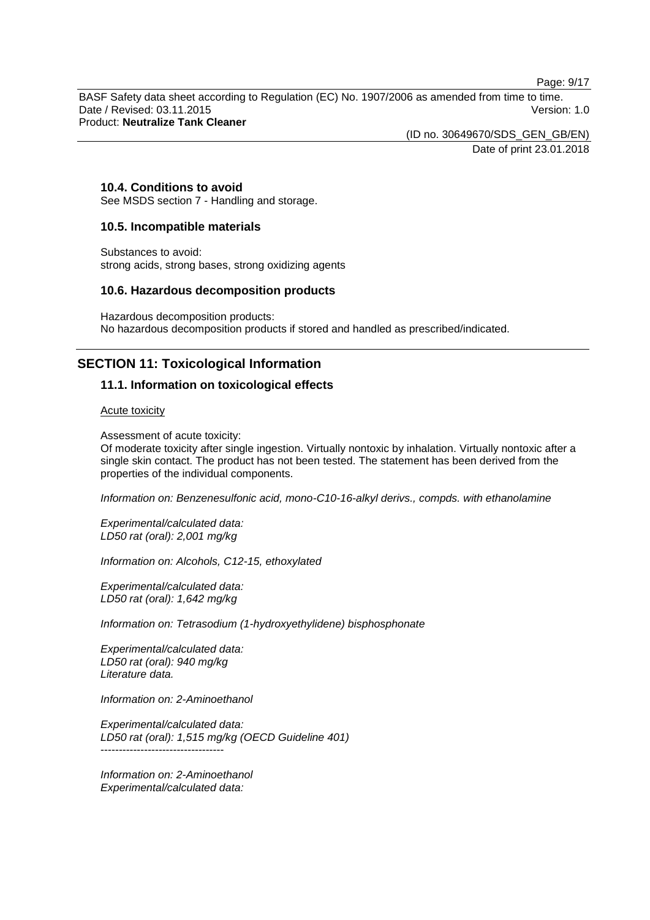Page: 9/17

BASF Safety data sheet according to Regulation (EC) No. 1907/2006 as amended from time to time. Date / Revised: 03.11.2015 Version: 1.0 Product: **Neutralize Tank Cleaner**

> (ID no. 30649670/SDS\_GEN\_GB/EN) Date of print 23.01.2018

## **10.4. Conditions to avoid**

See MSDS section 7 - Handling and storage.

## **10.5. Incompatible materials**

Substances to avoid: strong acids, strong bases, strong oxidizing agents

## **10.6. Hazardous decomposition products**

Hazardous decomposition products: No hazardous decomposition products if stored and handled as prescribed/indicated.

# **SECTION 11: Toxicological Information**

## **11.1. Information on toxicological effects**

Acute toxicity

Assessment of acute toxicity:

Of moderate toxicity after single ingestion. Virtually nontoxic by inhalation. Virtually nontoxic after a single skin contact. The product has not been tested. The statement has been derived from the properties of the individual components.

*Information on: Benzenesulfonic acid, mono-C10-16-alkyl derivs., compds. with ethanolamine*

*Experimental/calculated data: LD50 rat (oral): 2,001 mg/kg*

*Information on: Alcohols, C12-15, ethoxylated*

*Experimental/calculated data: LD50 rat (oral): 1,642 mg/kg*

*Information on: Tetrasodium (1-hydroxyethylidene) bisphosphonate*

*Experimental/calculated data: LD50 rat (oral): 940 mg/kg Literature data.*

*Information on: 2-Aminoethanol*

*Experimental/calculated data: LD50 rat (oral): 1,515 mg/kg (OECD Guideline 401)* ----------------------------------

*Information on: 2-Aminoethanol Experimental/calculated data:*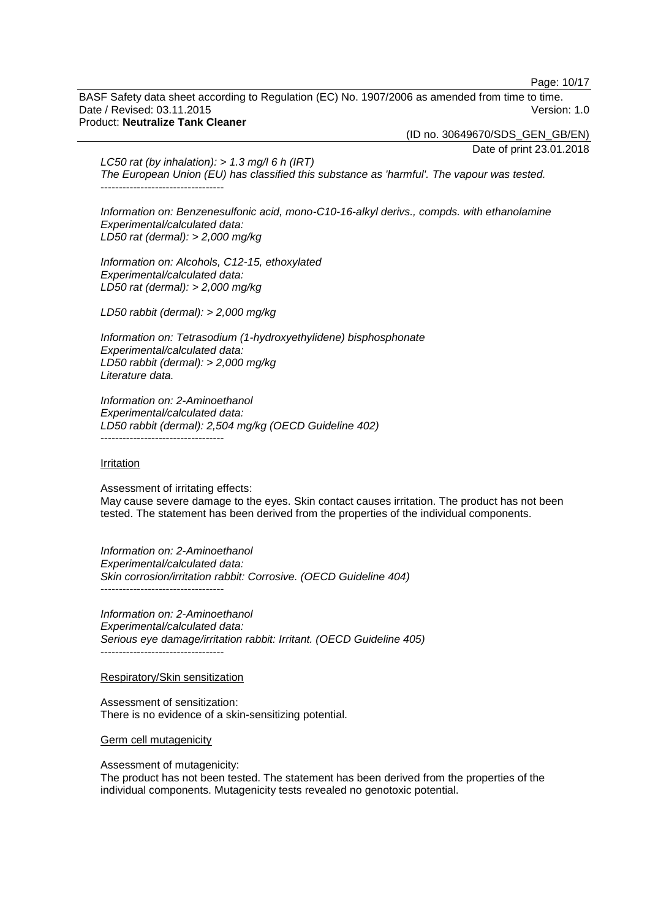Page: 10/17

BASF Safety data sheet according to Regulation (EC) No. 1907/2006 as amended from time to time. Date / Revised: 03.11.2015 Version: 1.0 Product: **Neutralize Tank Cleaner**

(ID no. 30649670/SDS\_GEN\_GB/EN)

Date of print 23.01.2018

*LC50 rat (by inhalation): > 1.3 mg/l 6 h (IRT) The European Union (EU) has classified this substance as 'harmful'. The vapour was tested.* ----------------------------------

*Information on: Benzenesulfonic acid, mono-C10-16-alkyl derivs., compds. with ethanolamine Experimental/calculated data: LD50 rat (dermal): > 2,000 mg/kg*

*Information on: Alcohols, C12-15, ethoxylated Experimental/calculated data: LD50 rat (dermal): > 2,000 mg/kg*

*LD50 rabbit (dermal): > 2,000 mg/kg*

*Information on: Tetrasodium (1-hydroxyethylidene) bisphosphonate Experimental/calculated data: LD50 rabbit (dermal): > 2,000 mg/kg Literature data.*

*Information on: 2-Aminoethanol Experimental/calculated data: LD50 rabbit (dermal): 2,504 mg/kg (OECD Guideline 402)* ----------------------------------

#### Irritation

Assessment of irritating effects: May cause severe damage to the eyes. Skin contact causes irritation. The product has not been tested. The statement has been derived from the properties of the individual components.

*Information on: 2-Aminoethanol Experimental/calculated data: Skin corrosion/irritation rabbit: Corrosive. (OECD Guideline 404)* ----------------------------------

*Information on: 2-Aminoethanol Experimental/calculated data: Serious eye damage/irritation rabbit: Irritant. (OECD Guideline 405)* ----------------------------------

#### Respiratory/Skin sensitization

Assessment of sensitization: There is no evidence of a skin-sensitizing potential.

Germ cell mutagenicity

Assessment of mutagenicity:

The product has not been tested. The statement has been derived from the properties of the individual components. Mutagenicity tests revealed no genotoxic potential.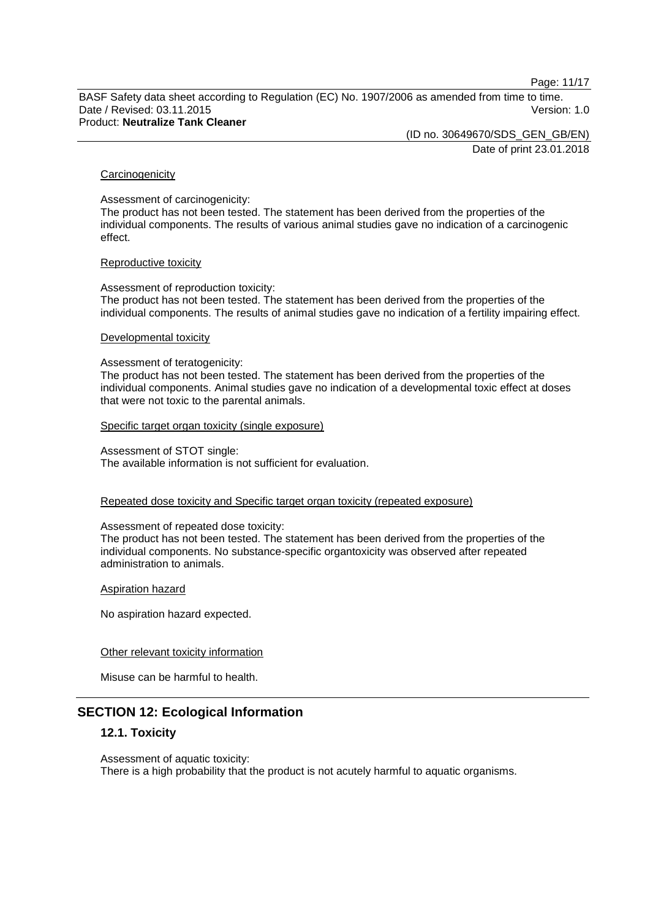Page: 11/17

BASF Safety data sheet according to Regulation (EC) No. 1907/2006 as amended from time to time. Date / Revised: 03.11.2015 Version: 1.0 Product: **Neutralize Tank Cleaner**

> (ID no. 30649670/SDS\_GEN\_GB/EN) Date of print 23.01.2018

#### **Carcinogenicity**

Assessment of carcinogenicity:

The product has not been tested. The statement has been derived from the properties of the individual components. The results of various animal studies gave no indication of a carcinogenic effect.

#### Reproductive toxicity

Assessment of reproduction toxicity: The product has not been tested. The statement has been derived from the properties of the individual components. The results of animal studies gave no indication of a fertility impairing effect.

#### Developmental toxicity

Assessment of teratogenicity:

The product has not been tested. The statement has been derived from the properties of the individual components. Animal studies gave no indication of a developmental toxic effect at doses that were not toxic to the parental animals.

Specific target organ toxicity (single exposure)

Assessment of STOT single: The available information is not sufficient for evaluation.

### Repeated dose toxicity and Specific target organ toxicity (repeated exposure)

Assessment of repeated dose toxicity:

The product has not been tested. The statement has been derived from the properties of the individual components. No substance-specific organtoxicity was observed after repeated administration to animals.

Aspiration hazard

No aspiration hazard expected.

### Other relevant toxicity information

Misuse can be harmful to health.

# **SECTION 12: Ecological Information**

### **12.1. Toxicity**

Assessment of aquatic toxicity: There is a high probability that the product is not acutely harmful to aquatic organisms.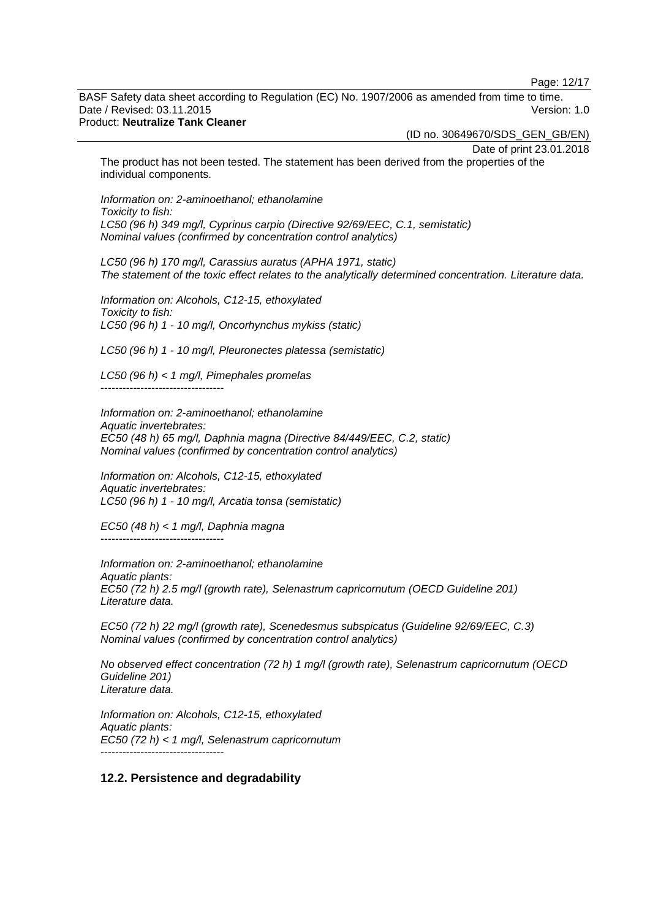Page: 12/17

BASF Safety data sheet according to Regulation (EC) No. 1907/2006 as amended from time to time. Date / Revised: 03.11.2015 Version: 1.0

## Product: **Neutralize Tank Cleaner**

(ID no. 30649670/SDS\_GEN\_GB/EN)

Date of print 23.01.2018

The product has not been tested. The statement has been derived from the properties of the individual components.

*Information on: 2-aminoethanol; ethanolamine Toxicity to fish: LC50 (96 h) 349 mg/l, Cyprinus carpio (Directive 92/69/EEC, C.1, semistatic) Nominal values (confirmed by concentration control analytics)*

*LC50 (96 h) 170 mg/l, Carassius auratus (APHA 1971, static) The statement of the toxic effect relates to the analytically determined concentration. Literature data.*

*Information on: Alcohols, C12-15, ethoxylated Toxicity to fish: LC50 (96 h) 1 - 10 mg/l, Oncorhynchus mykiss (static)*

*LC50 (96 h) 1 - 10 mg/l, Pleuronectes platessa (semistatic)*

*LC50 (96 h) < 1 mg/l, Pimephales promelas* ----------------------------------

*Information on: 2-aminoethanol; ethanolamine Aquatic invertebrates: EC50 (48 h) 65 mg/l, Daphnia magna (Directive 84/449/EEC, C.2, static) Nominal values (confirmed by concentration control analytics)*

*Information on: Alcohols, C12-15, ethoxylated Aquatic invertebrates: LC50 (96 h) 1 - 10 mg/l, Arcatia tonsa (semistatic)*

*EC50 (48 h) < 1 mg/l, Daphnia magna* ----------------------------------

*Information on: 2-aminoethanol; ethanolamine Aquatic plants: EC50 (72 h) 2.5 mg/l (growth rate), Selenastrum capricornutum (OECD Guideline 201) Literature data.*

*EC50 (72 h) 22 mg/l (growth rate), Scenedesmus subspicatus (Guideline 92/69/EEC, C.3) Nominal values (confirmed by concentration control analytics)*

*No observed effect concentration (72 h) 1 mg/l (growth rate), Selenastrum capricornutum (OECD Guideline 201) Literature data.*

*Information on: Alcohols, C12-15, ethoxylated Aquatic plants: EC50 (72 h) < 1 mg/l, Selenastrum capricornutum* ----------------------------------

### **12.2. Persistence and degradability**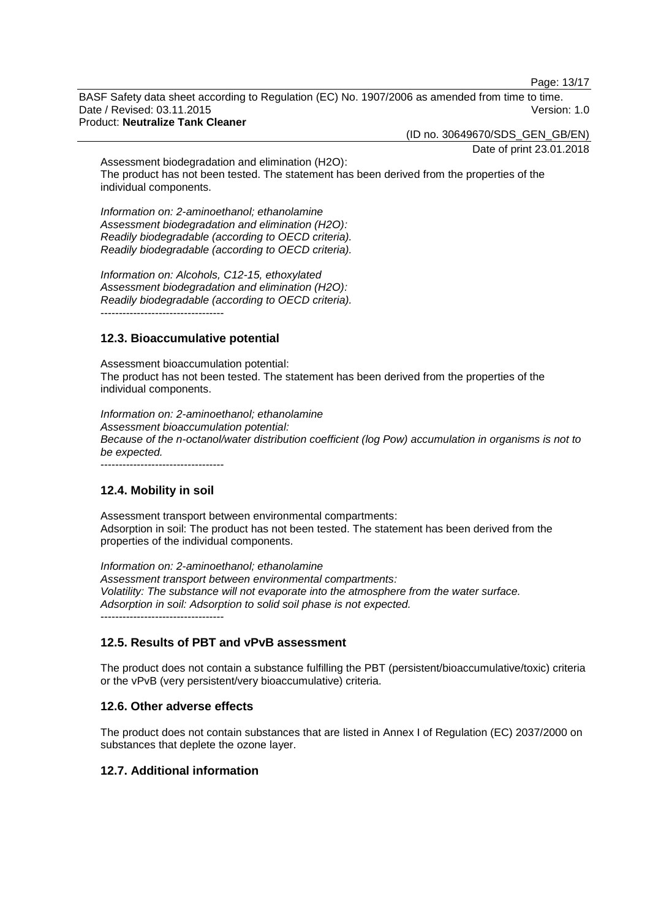Page: 13/17

BASF Safety data sheet according to Regulation (EC) No. 1907/2006 as amended from time to time. Date / Revised: 03.11.2015 Version: 1.0 Product: **Neutralize Tank Cleaner**

(ID no. 30649670/SDS\_GEN\_GB/EN)

Date of print 23.01.2018

Assessment biodegradation and elimination (H2O): The product has not been tested. The statement has been derived from the properties of the individual components.

*Information on: 2-aminoethanol; ethanolamine Assessment biodegradation and elimination (H2O): Readily biodegradable (according to OECD criteria). Readily biodegradable (according to OECD criteria).*

*Information on: Alcohols, C12-15, ethoxylated Assessment biodegradation and elimination (H2O): Readily biodegradable (according to OECD criteria).*  $-$ 

# **12.3. Bioaccumulative potential**

Assessment bioaccumulation potential: The product has not been tested. The statement has been derived from the properties of the individual components.

*Information on: 2-aminoethanol; ethanolamine Assessment bioaccumulation potential: Because of the n-octanol/water distribution coefficient (log Pow) accumulation in organisms is not to be expected.* ----------------------------------

**12.4. Mobility in soil**

Assessment transport between environmental compartments: Adsorption in soil: The product has not been tested. The statement has been derived from the properties of the individual components.

*Information on: 2-aminoethanol; ethanolamine Assessment transport between environmental compartments: Volatility: The substance will not evaporate into the atmosphere from the water surface. Adsorption in soil: Adsorption to solid soil phase is not expected.* ----------------------------------

# **12.5. Results of PBT and vPvB assessment**

The product does not contain a substance fulfilling the PBT (persistent/bioaccumulative/toxic) criteria or the vPvB (very persistent/very bioaccumulative) criteria.

# **12.6. Other adverse effects**

The product does not contain substances that are listed in Annex I of Regulation (EC) 2037/2000 on substances that deplete the ozone layer.

# **12.7. Additional information**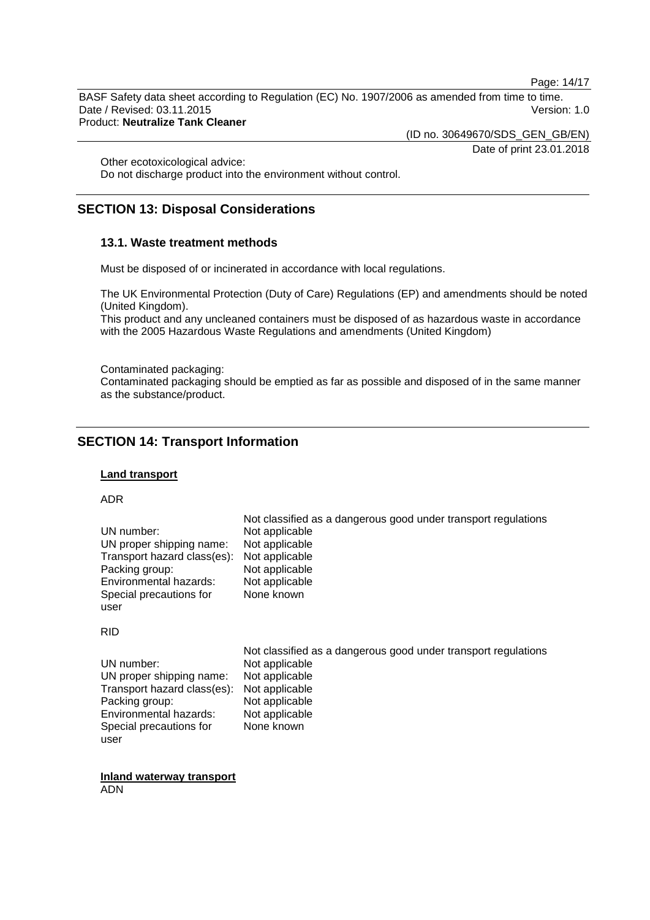Page: 14/17

BASF Safety data sheet according to Regulation (EC) No. 1907/2006 as amended from time to time. Date / Revised: 03.11.2015 Version: 1.0 Product: **Neutralize Tank Cleaner**

(ID no. 30649670/SDS\_GEN\_GB/EN)

Date of print 23.01.2018

Other ecotoxicological advice:

Do not discharge product into the environment without control.

# **SECTION 13: Disposal Considerations**

### **13.1. Waste treatment methods**

Must be disposed of or incinerated in accordance with local regulations.

The UK Environmental Protection (Duty of Care) Regulations (EP) and amendments should be noted (United Kingdom).

This product and any uncleaned containers must be disposed of as hazardous waste in accordance with the 2005 Hazardous Waste Regulations and amendments (United Kingdom)

Contaminated packaging:

Contaminated packaging should be emptied as far as possible and disposed of in the same manner as the substance/product.

# **SECTION 14: Transport Information**

### **Land transport**

ADR

|                             | Not classified as a dangerous good under transport regulations |
|-----------------------------|----------------------------------------------------------------|
| UN number:                  | Not applicable                                                 |
| UN proper shipping name:    | Not applicable                                                 |
| Transport hazard class(es): | Not applicable                                                 |
| Packing group:              | Not applicable                                                 |
| Environmental hazards:      | Not applicable                                                 |
| Special precautions for     | None known                                                     |
| user                        |                                                                |

#### RID

|                                            | Not classified as a dangerous good under transport regulations |
|--------------------------------------------|----------------------------------------------------------------|
| UN number:                                 | Not applicable                                                 |
| UN proper shipping name:                   | Not applicable                                                 |
| Transport hazard class(es): Not applicable |                                                                |
| Packing group:                             | Not applicable                                                 |
| Environmental hazards:                     | Not applicable                                                 |
| Special precautions for                    | None known                                                     |
| user                                       |                                                                |

**Inland waterway transport** ADN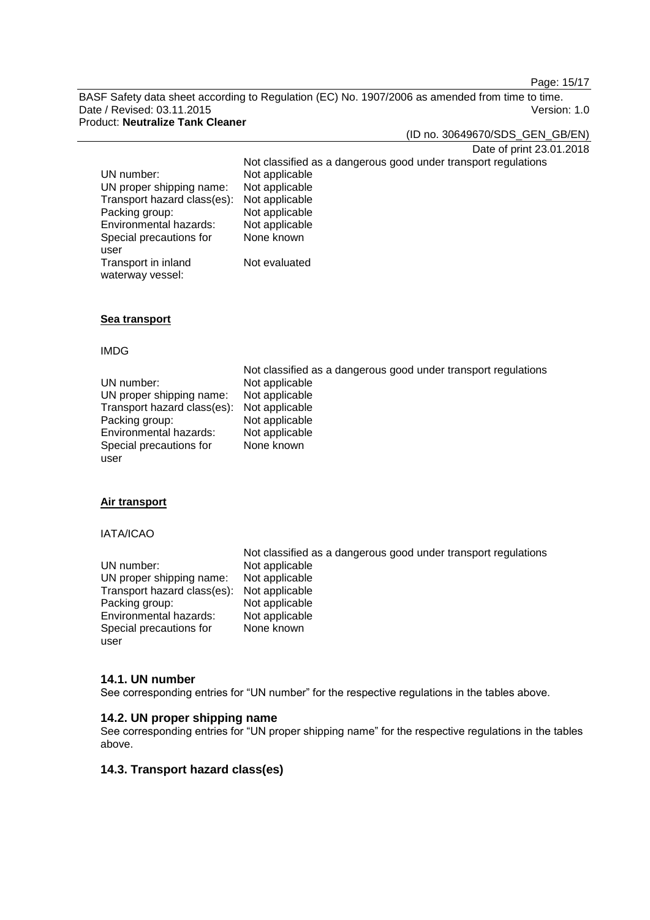Page: 15/17

BASF Safety data sheet according to Regulation (EC) No. 1907/2006 as amended from time to time. Date / Revised: 03.11.2015 Version: 1.0

# Product: **Neutralize Tank Cleaner**

(ID no. 30649670/SDS\_GEN\_GB/EN)

Date of print 23.01.2018

Not classified as a dangerous good under transport regulations UN number: Not applicable<br>UN proper shipping name: Not applicable UN proper shipping name: Not applicable<br>Transport hazard class(es): Not applicable Transport hazard class(es): Not applicable<br>Packing group: Not applicable Packing group: Not applicable<br>
Environmental hazards: Not applicable Environmental hazards: Special precautions for user None known Transport in inland Not evaluated

### **Sea transport**

waterway vessel:

#### IMDG

| UN number:<br>UN proper shipping name:<br>Transport hazard class(es): | Not classified as a dangerous good under transport regulations<br>Not applicable<br>Not applicable<br>Not applicable |
|-----------------------------------------------------------------------|----------------------------------------------------------------------------------------------------------------------|
| Packing group:<br>Environmental hazards:                              | Not applicable<br>Not applicable                                                                                     |
| Special precautions for<br>user                                       | None known                                                                                                           |

### **Air transport**

#### IATA/ICAO

|                                            | Not classified as a dangerous good under transport regulations |
|--------------------------------------------|----------------------------------------------------------------|
| UN number:                                 | Not applicable                                                 |
| UN proper shipping name:                   | Not applicable                                                 |
| Transport hazard class(es): Not applicable |                                                                |
| Packing group:                             | Not applicable                                                 |
| Environmental hazards:                     | Not applicable                                                 |
| Special precautions for                    | None known                                                     |
| user                                       |                                                                |

#### **14.1. UN number**

See corresponding entries for "UN number" for the respective regulations in the tables above.

## **14.2. UN proper shipping name**

See corresponding entries for "UN proper shipping name" for the respective regulations in the tables above.

## **14.3. Transport hazard class(es)**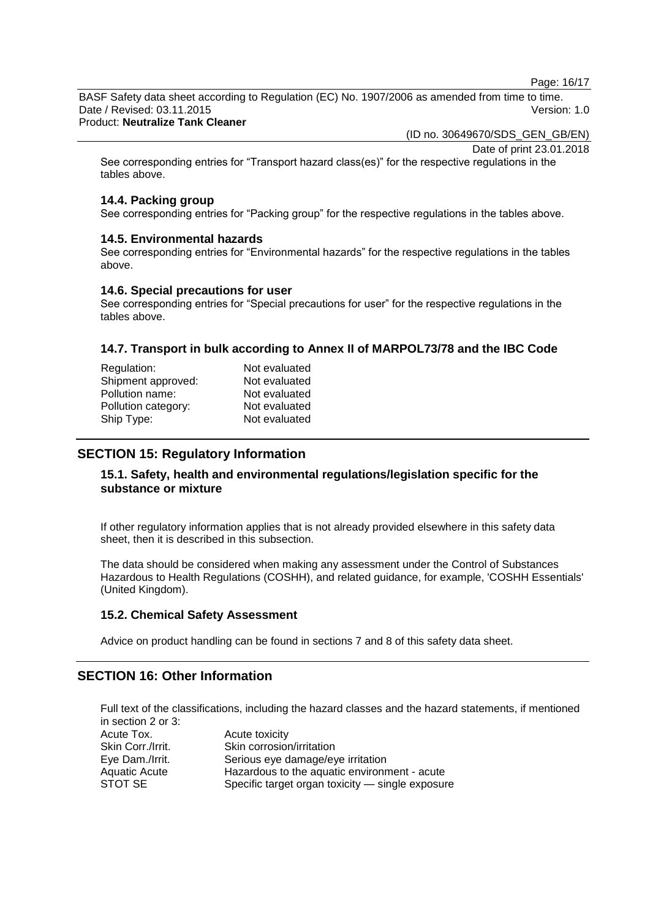Page: 16/17

BASF Safety data sheet according to Regulation (EC) No. 1907/2006 as amended from time to time. Date / Revised: 03.11.2015 Version: 1.0

## Product: **Neutralize Tank Cleaner**

(ID no. 30649670/SDS\_GEN\_GB/EN)

Date of print 23.01.2018

See corresponding entries for "Transport hazard class(es)" for the respective regulations in the tables above.

## **14.4. Packing group**

See corresponding entries for "Packing group" for the respective regulations in the tables above.

## **14.5. Environmental hazards**

See corresponding entries for "Environmental hazards" for the respective regulations in the tables above.

## **14.6. Special precautions for user**

See corresponding entries for "Special precautions for user" for the respective regulations in the tables above.

## **14.7. Transport in bulk according to Annex II of MARPOL73/78 and the IBC Code**

| Regulation:         | Not evaluated |
|---------------------|---------------|
| Shipment approved:  | Not evaluated |
| Pollution name:     | Not evaluated |
| Pollution category: | Not evaluated |
| Ship Type:          | Not evaluated |
|                     |               |

# **SECTION 15: Regulatory Information**

## **15.1. Safety, health and environmental regulations/legislation specific for the substance or mixture**

If other regulatory information applies that is not already provided elsewhere in this safety data sheet, then it is described in this subsection.

The data should be considered when making any assessment under the Control of Substances Hazardous to Health Regulations (COSHH), and related guidance, for example, 'COSHH Essentials' (United Kingdom).

## **15.2. Chemical Safety Assessment**

Advice on product handling can be found in sections 7 and 8 of this safety data sheet.

# **SECTION 16: Other Information**

Full text of the classifications, including the hazard classes and the hazard statements, if mentioned in section 2 or 3:

| Acute toxicity                                   |
|--------------------------------------------------|
| Skin corrosion/irritation                        |
| Serious eye damage/eye irritation                |
| Hazardous to the aquatic environment - acute     |
| Specific target organ toxicity — single exposure |
|                                                  |